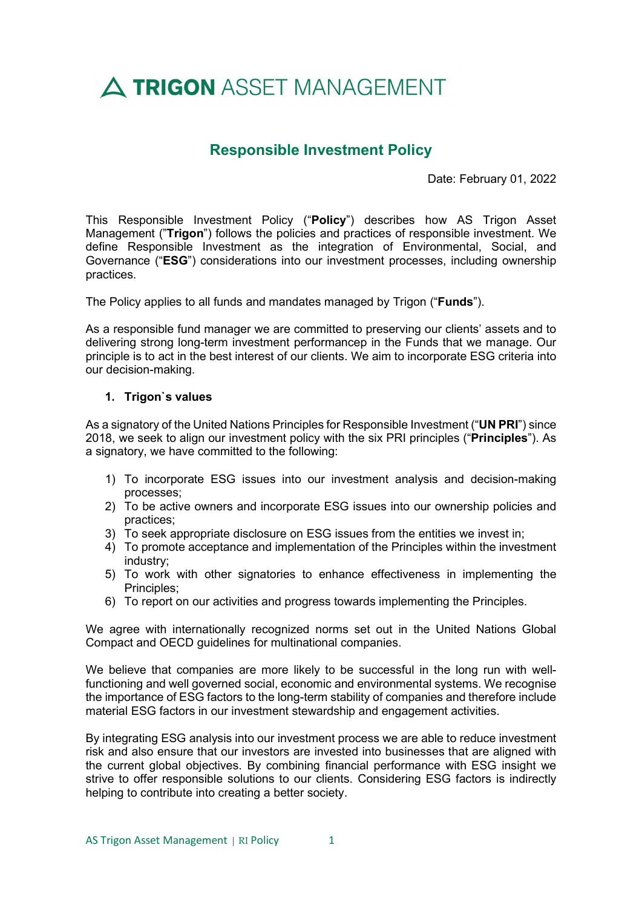# A TRIGON ASSET MANAGEMENT

## Responsible Investment Policy

Date: February 01, 2022

This Responsible Investment Policy ("Policy") describes how AS Trigon Asset Management ("Trigon") follows the policies and practices of responsible investment. We define Responsible Investment as the integration of Environmental, Social, and Governance ("ESG") considerations into our investment processes, including ownership practices.

The Policy applies to all funds and mandates managed by Trigon ("**Funds**").

As a responsible fund manager we are committed to preserving our clients' assets and to delivering strong long-term investment performancep in the Funds that we manage. Our principle is to act in the best interest of our clients. We aim to incorporate ESG criteria into our decision-making.

#### 1. Trigon`s values

As a signatory of the United Nations Principles for Responsible Investment ("UN PRI") since 2018, we seek to align our investment policy with the six PRI principles ("Principles"). As a signatory, we have committed to the following:

- 1) To incorporate ESG issues into our investment analysis and decision-making processes;
- 2) To be active owners and incorporate ESG issues into our ownership policies and practices;
- 3) To seek appropriate disclosure on ESG issues from the entities we invest in;
- 4) To promote acceptance and implementation of the Principles within the investment industry;
- 5) To work with other signatories to enhance effectiveness in implementing the Principles;
- 6) To report on our activities and progress towards implementing the Principles.

We agree with internationally recognized norms set out in the United Nations Global Compact and OECD guidelines for multinational companies.

We believe that companies are more likely to be successful in the long run with wellfunctioning and well governed social, economic and environmental systems. We recognise the importance of ESG factors to the long-term stability of companies and therefore include material ESG factors in our investment stewardship and engagement activities.

By integrating ESG analysis into our investment process we are able to reduce investment risk and also ensure that our investors are invested into businesses that are aligned with the current global objectives. By combining financial performance with ESG insight we strive to offer responsible solutions to our clients. Considering ESG factors is indirectly helping to contribute into creating a better society.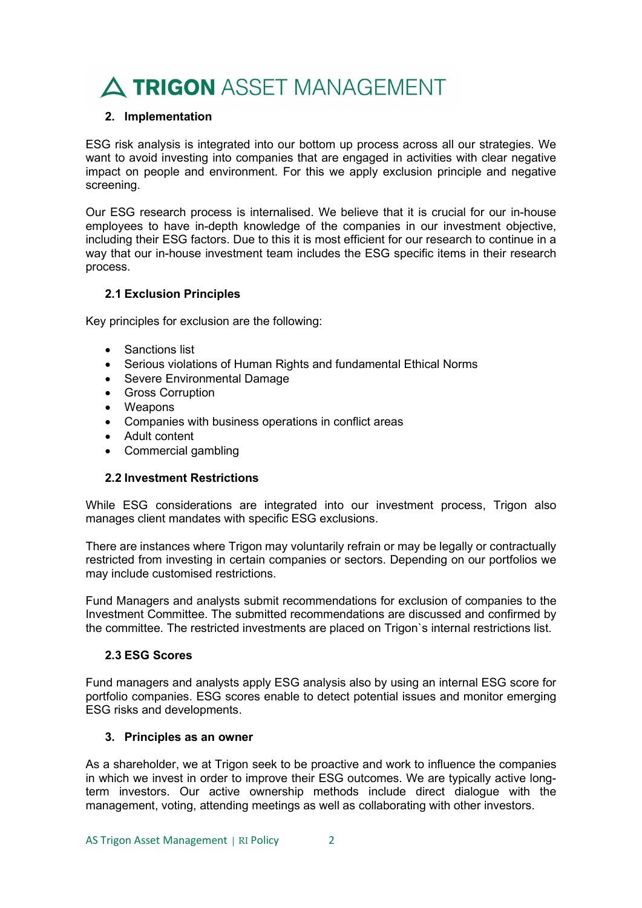# A TRIGON ASSET MANAGEMENT

### 2. Implementation

ESG risk analysis is integrated into our bottom up process across all our strategies. We want to avoid investing into companies that are engaged in activities with clear negative impact on people and environment. For this we apply exclusion principle and negative screening.

Our ESG research process is internalised. We believe that it is crucial for our in-house employees to have in-depth knowledge of the companies in our investment objective, including their ESG factors. Due to this it is most efficient for our research to continue in a way that our in-house investment team includes the ESG specific items in their research process.

### 2.1 Exclusion Principles

Key principles for exclusion are the following:

- Sanctions list
- Serious violations of Human Rights and fundamental Ethical Norms
- Severe Environmental Damage
- **•** Gross Corruption
- Weapons
- Companies with business operations in conflict areas
- Adult content
- Commercial gambling

#### 2.2 Investment Restrictions

While ESG considerations are integrated into our investment process, Trigon also manages client mandates with specific ESG exclusions.

There are instances where Trigon may voluntarily refrain or may be legally or contractually restricted from investing in certain companies or sectors. Depending on our portfolios we may include customised restrictions.

Fund Managers and analysts submit recommendations for exclusion of companies to the Investment Committee. The submitted recommendations are discussed and confirmed by the committee. The restricted investments are placed on Trigon`s internal restrictions list.

#### 2.3 ESG Scores

Fund managers and analysts apply ESG analysis also by using an internal ESG score for portfolio companies. ESG scores enable to detect potential issues and monitor emerging ESG risks and developments.

#### 3. Principles as an owner

As a shareholder, we at Trigon seek to be proactive and work to influence the companies in which we invest in order to improve their ESG outcomes. We are typically active longterm investors. Our active ownership methods include direct dialogue with the management, voting, attending meetings as well as collaborating with other investors.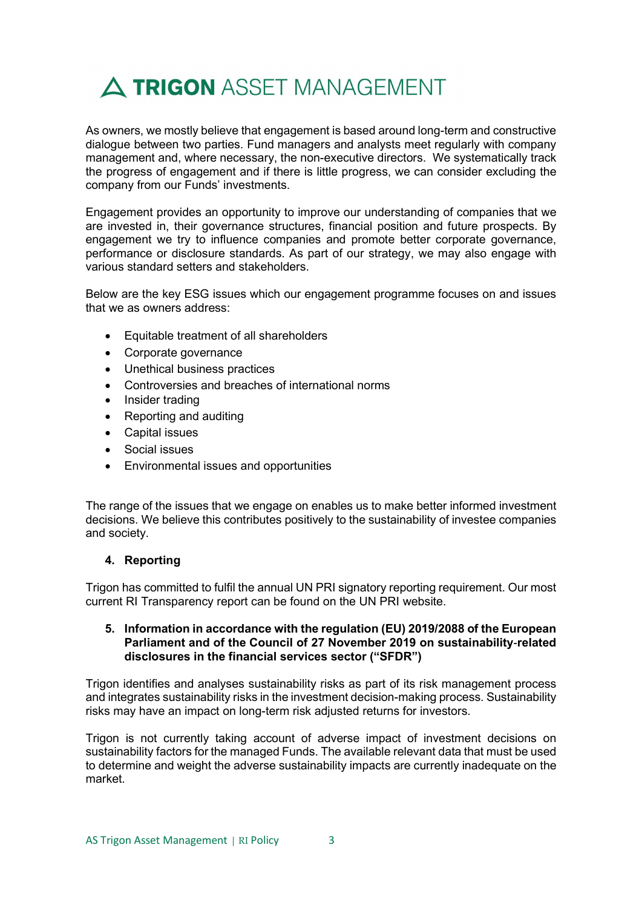

As owners, we mostly believe that engagement is based around long-term and constructive dialogue between two parties. Fund managers and analysts meet regularly with company management and, where necessary, the non-executive directors. We systematically track the progress of engagement and if there is little progress, we can consider excluding the company from our Funds' investments.

Engagement provides an opportunity to improve our understanding of companies that we are invested in, their governance structures, financial position and future prospects. By engagement we try to influence companies and promote better corporate governance, performance or disclosure standards. As part of our strategy, we may also engage with various standard setters and stakeholders.

Below are the key ESG issues which our engagement programme focuses on and issues that we as owners address:

- Equitable treatment of all shareholders
- Corporate governance
- Unethical business practices
- Controversies and breaches of international norms
- Insider trading
- Reporting and auditing
- Capital issues
- Social issues
- Environmental issues and opportunities

The range of the issues that we engage on enables us to make better informed investment decisions. We believe this contributes positively to the sustainability of investee companies and society.

#### 4. Reporting

Trigon has committed to fulfil the annual UN PRI signatory reporting requirement. Our most current RI Transparency report can be found on the UN PRI website.

#### 5. Information in accordance with the regulation (EU) 2019/2088 of the European Parliament and of the Council of 27 November 2019 on sustainability‐related disclosures in the financial services sector ("SFDR")

Trigon identifies and analyses sustainability risks as part of its risk management process and integrates sustainability risks in the investment decision-making process. Sustainability risks may have an impact on long-term risk adjusted returns for investors.

Trigon is not currently taking account of adverse impact of investment decisions on sustainability factors for the managed Funds. The available relevant data that must be used to determine and weight the adverse sustainability impacts are currently inadequate on the market.